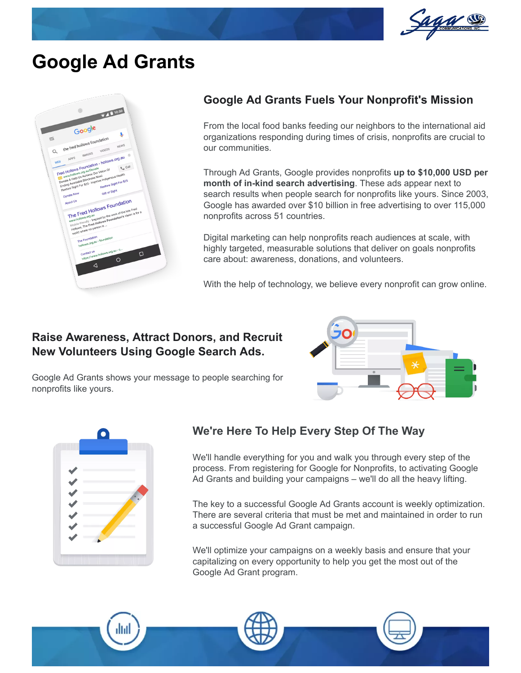

## **Google Ad Grants**



#### **Google Ad Grants Fuels Your Nonprofit's Mission**

From the local food banks feeding our neighbors to the international aid organizations responding during times of crisis, nonprofits are crucial to our communities.

Through Ad Grants, Google provides nonprofits **up to \$10,000 USD per month of in-kind search advertising**. These ads appear next to search results when people search for nonprofits like yours. Since 2003, Google has awarded over \$10 billion in free advertising to over 115,000 nonprofits across 51 countries.

Digital marketing can help nonprofits reach audiences at scale, with highly targeted, measurable solutions that deliver on goals nonprofits care about: awareness, donations, and volunteers.

With the help of technology, we believe every nonprofit can grow online.

#### **Raise Awareness, Attract Donors, and Recruit New Volunteers Using Google Search Ads.**

Google Ad Grants shows your message to people searching for



nonprofits like yours.

### **We're Here To Help Every Step Of The Way**

We'll handle everything for you and walk you through every step of the process. From registering for Google for Nonprofits, to activating Google Ad Grants and building your campaigns – we'll do all the heavy lifting.

The key to a successful Google Ad Grants account is weekly optimization. There are several criteria that must be met and maintained in order to run a successful Google Ad Grant campaign.

We'll optimize your campaigns on a weekly basis and ensure that your capitalizing on every opportunity to help you get the most out of the Google Ad Grant program.